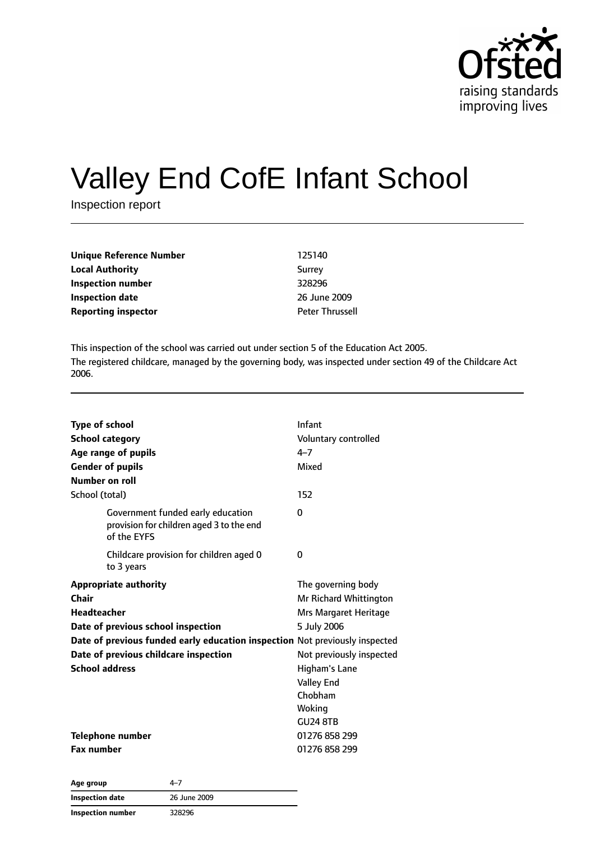

# Valley End CofE Infant School

Inspection report

| Unique Reference Number    | 125140                 |
|----------------------------|------------------------|
| <b>Local Authority</b>     | Surrey                 |
| Inspection number          | 328296                 |
| <b>Inspection date</b>     | 26 June 2009           |
| <b>Reporting inspector</b> | <b>Peter Thrussell</b> |

This inspection of the school was carried out under section 5 of the Education Act 2005. The registered childcare, managed by the governing body, was inspected under section 49 of the Childcare Act 2006.

| <b>Type of school</b><br><b>School category</b><br>Age range of pupils<br><b>Gender of pupils</b><br>Number on roll | Infant<br>Voluntary controlled<br>$4 - 7$<br>Mixed |
|---------------------------------------------------------------------------------------------------------------------|----------------------------------------------------|
| School (total)                                                                                                      | 152                                                |
| Government funded early education<br>provision for children aged 3 to the end<br>of the EYFS                        | 0                                                  |
| Childcare provision for children aged 0<br>to 3 years                                                               | $\Omega$                                           |
| <b>Appropriate authority</b>                                                                                        | The governing body                                 |
| Chair                                                                                                               | Mr Richard Whittington                             |
| <b>Headteacher</b>                                                                                                  | Mrs Margaret Heritage                              |
| Date of previous school inspection                                                                                  | 5 July 2006                                        |
| Date of previous funded early education inspection Not previously inspected                                         |                                                    |
| Date of previous childcare inspection                                                                               | Not previously inspected                           |
| <b>School address</b>                                                                                               | Higham's Lane                                      |
|                                                                                                                     | <b>Valley End</b>                                  |
|                                                                                                                     | Chobham                                            |
|                                                                                                                     | Woking                                             |
|                                                                                                                     | <b>GU24 8TB</b>                                    |
| Telephone number                                                                                                    | 01276 858 299                                      |
| <b>Fax number</b>                                                                                                   | 01276858299                                        |

| Age group              | 4–7          |  |
|------------------------|--------------|--|
| <b>Inspection date</b> | 26 June 2009 |  |
| Inspection number      | 328296       |  |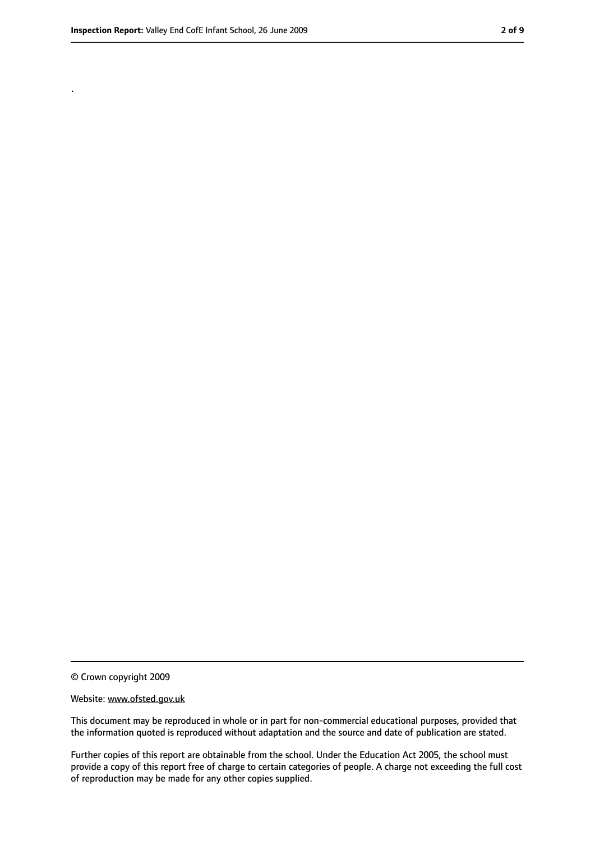.

<sup>©</sup> Crown copyright 2009

Website: www.ofsted.gov.uk

This document may be reproduced in whole or in part for non-commercial educational purposes, provided that the information quoted is reproduced without adaptation and the source and date of publication are stated.

Further copies of this report are obtainable from the school. Under the Education Act 2005, the school must provide a copy of this report free of charge to certain categories of people. A charge not exceeding the full cost of reproduction may be made for any other copies supplied.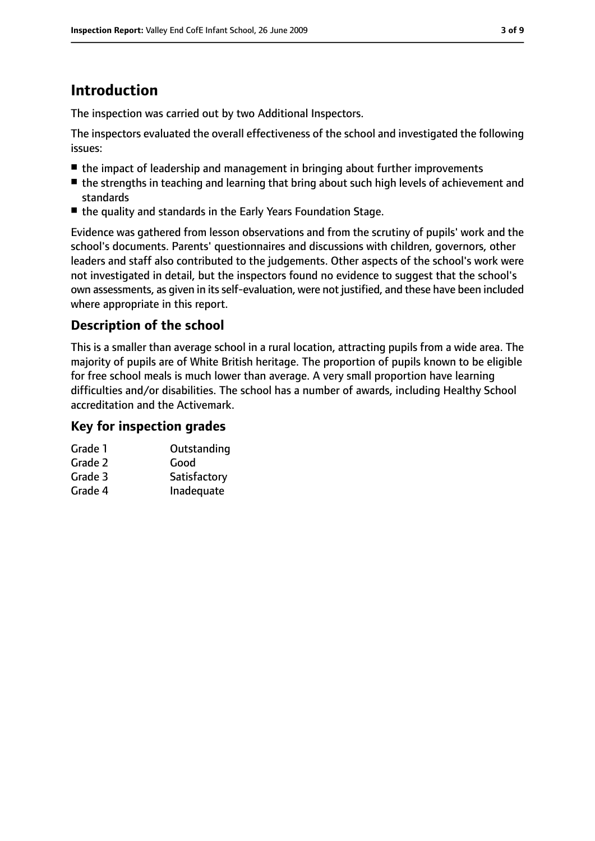# **Introduction**

The inspection was carried out by two Additional Inspectors.

The inspectors evaluated the overall effectiveness of the school and investigated the following issues:

- the impact of leadership and management in bringing about further improvements
- the strengths in teaching and learning that bring about such high levels of achievement and standards
- the quality and standards in the Early Years Foundation Stage.

Evidence was gathered from lesson observations and from the scrutiny of pupils' work and the school's documents. Parents' questionnaires and discussions with children, governors, other leaders and staff also contributed to the judgements. Other aspects of the school's work were not investigated in detail, but the inspectors found no evidence to suggest that the school's own assessments, as given in its self-evaluation, were not justified, and these have been included where appropriate in this report.

#### **Description of the school**

This is a smaller than average school in a rural location, attracting pupils from a wide area. The majority of pupils are of White British heritage. The proportion of pupils known to be eligible for free school meals is much lower than average. A very small proportion have learning difficulties and/or disabilities. The school has a number of awards, including Healthy School accreditation and the Activemark.

#### **Key for inspection grades**

| Grade 1 | Outstanding  |
|---------|--------------|
| Grade 2 | Good         |
| Grade 3 | Satisfactory |
| Grade 4 | Inadequate   |
|         |              |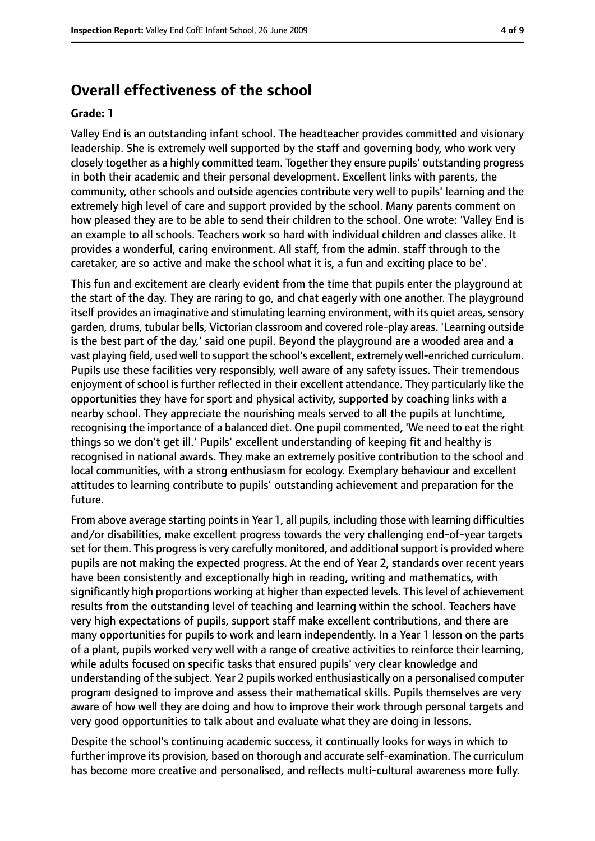### **Overall effectiveness of the school**

#### **Grade: 1**

Valley End is an outstanding infant school. The headteacher provides committed and visionary leadership. She is extremely well supported by the staff and governing body, who work very closely together as a highly committed team. Together they ensure pupils' outstanding progress in both their academic and their personal development. Excellent links with parents, the community, other schools and outside agencies contribute very well to pupils' learning and the extremely high level of care and support provided by the school. Many parents comment on how pleased they are to be able to send their children to the school. One wrote: 'Valley End is an example to all schools. Teachers work so hard with individual children and classes alike. It provides a wonderful, caring environment. All staff, from the admin. staff through to the caretaker, are so active and make the school what it is, a fun and exciting place to be'.

This fun and excitement are clearly evident from the time that pupils enter the playground at the start of the day. They are raring to go, and chat eagerly with one another. The playground itself provides an imaginative and stimulating learning environment, with its quiet areas, sensory garden, drums, tubular bells, Victorian classroom and covered role-play areas. 'Learning outside is the best part of the day,' said one pupil. Beyond the playground are a wooded area and a vast playing field, used well to support the school's excellent, extremely well-enriched curriculum. Pupils use these facilities very responsibly, well aware of any safety issues. Their tremendous enjoyment of school is further reflected in their excellent attendance. They particularly like the opportunities they have for sport and physical activity, supported by coaching links with a nearby school. They appreciate the nourishing meals served to all the pupils at lunchtime, recognising the importance of a balanced diet. One pupil commented, 'We need to eat the right things so we don't get ill.' Pupils' excellent understanding of keeping fit and healthy is recognised in national awards. They make an extremely positive contribution to the school and local communities, with a strong enthusiasm for ecology. Exemplary behaviour and excellent attitudes to learning contribute to pupils' outstanding achievement and preparation for the future.

From above average starting points in Year 1, all pupils, including those with learning difficulties and/or disabilities, make excellent progress towards the very challenging end-of-year targets set for them. This progress is very carefully monitored, and additional support is provided where pupils are not making the expected progress. At the end of Year 2, standards over recent years have been consistently and exceptionally high in reading, writing and mathematics, with significantly high proportions working at higher than expected levels. This level of achievement results from the outstanding level of teaching and learning within the school. Teachers have very high expectations of pupils, support staff make excellent contributions, and there are many opportunities for pupils to work and learn independently. In a Year 1 lesson on the parts of a plant, pupils worked very well with a range of creative activities to reinforce their learning, while adults focused on specific tasks that ensured pupils' very clear knowledge and understanding of the subject. Year 2 pupils worked enthusiastically on a personalised computer program designed to improve and assess their mathematical skills. Pupils themselves are very aware of how well they are doing and how to improve their work through personal targets and very good opportunities to talk about and evaluate what they are doing in lessons.

Despite the school's continuing academic success, it continually looks for ways in which to further improve its provision, based on thorough and accurate self-examination. The curriculum has become more creative and personalised, and reflects multi-cultural awareness more fully.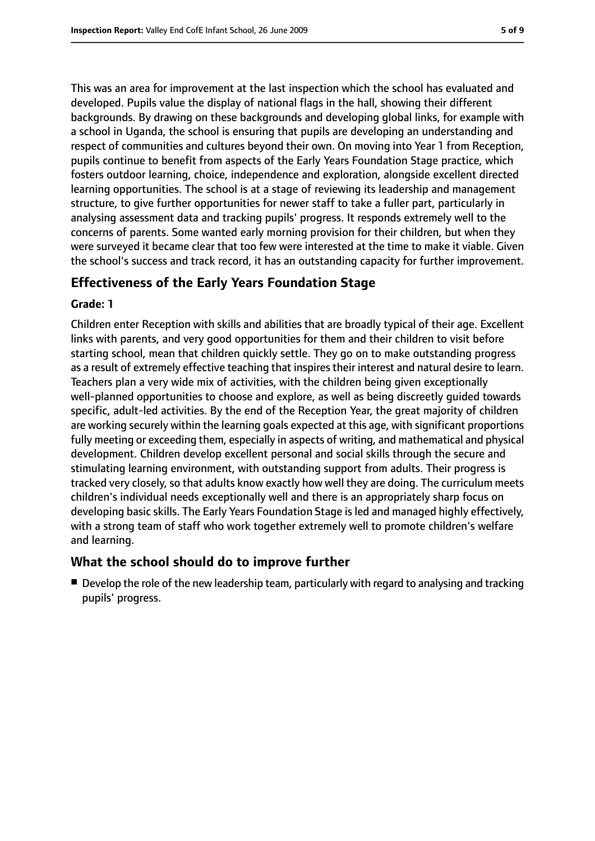This was an area for improvement at the last inspection which the school has evaluated and developed. Pupils value the display of national flags in the hall, showing their different backgrounds. By drawing on these backgrounds and developing global links, for example with a school in Uganda, the school is ensuring that pupils are developing an understanding and respect of communities and cultures beyond their own. On moving into Year 1 from Reception, pupils continue to benefit from aspects of the Early Years Foundation Stage practice, which fosters outdoor learning, choice, independence and exploration, alongside excellent directed learning opportunities. The school is at a stage of reviewing its leadership and management structure, to give further opportunities for newer staff to take a fuller part, particularly in analysing assessment data and tracking pupils' progress. It responds extremely well to the concerns of parents. Some wanted early morning provision for their children, but when they were surveyed it became clear that too few were interested at the time to make it viable. Given the school's success and track record, it has an outstanding capacity for further improvement.

#### **Effectiveness of the Early Years Foundation Stage**

#### **Grade: 1**

Children enter Reception with skills and abilities that are broadly typical of their age. Excellent links with parents, and very good opportunities for them and their children to visit before starting school, mean that children quickly settle. They go on to make outstanding progress as a result of extremely effective teaching that inspires their interest and natural desire to learn. Teachers plan a very wide mix of activities, with the children being given exceptionally well-planned opportunities to choose and explore, as well as being discreetly guided towards specific, adult-led activities. By the end of the Reception Year, the great majority of children are working securely within the learning goals expected at this age, with significant proportions fully meeting or exceeding them, especially in aspects of writing, and mathematical and physical development. Children develop excellent personal and social skills through the secure and stimulating learning environment, with outstanding support from adults. Their progress is tracked very closely, so that adults know exactly how well they are doing. The curriculum meets children's individual needs exceptionally well and there is an appropriately sharp focus on developing basic skills. The Early Years Foundation Stage is led and managed highly effectively, with a strong team of staff who work together extremely well to promote children's welfare and learning.

#### **What the school should do to improve further**

■ Develop the role of the new leadership team, particularly with regard to analysing and tracking pupils' progress.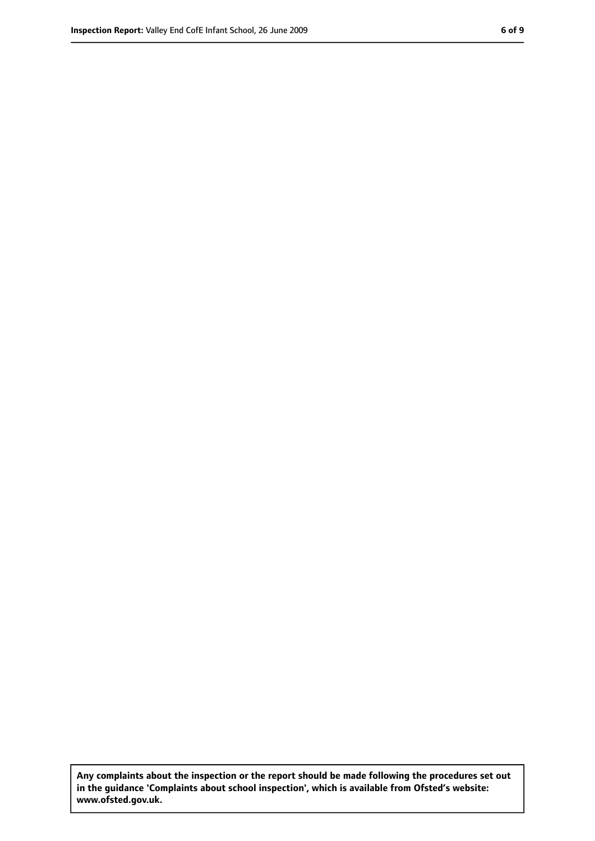**Any complaints about the inspection or the report should be made following the procedures set out in the guidance 'Complaints about school inspection', which is available from Ofsted's website: www.ofsted.gov.uk.**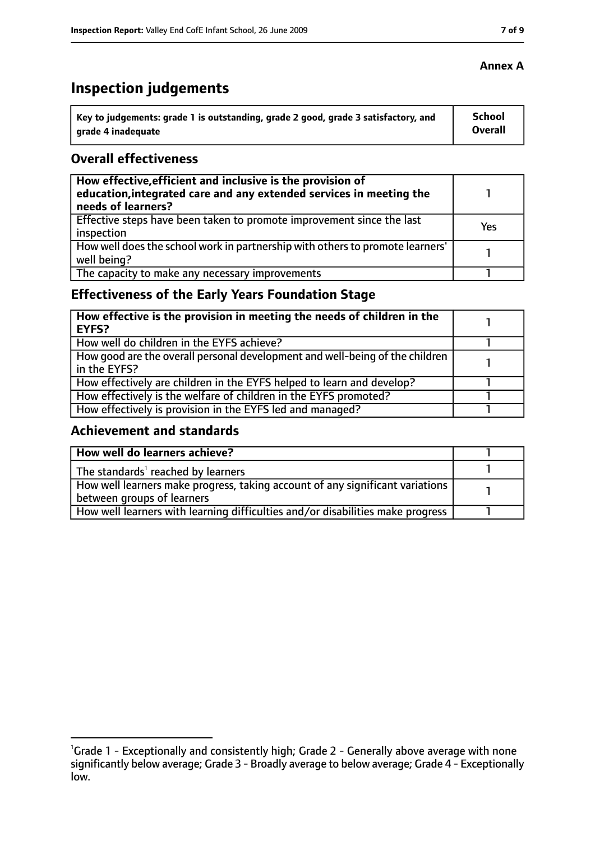# **Inspection judgements**

| ˈ Key to judgements: grade 1 is outstanding, grade 2 good, grade 3 satisfactory, and | <b>School</b>  |
|--------------------------------------------------------------------------------------|----------------|
| arade 4 inadequate                                                                   | <b>Overall</b> |

#### **Overall effectiveness**

| How effective, efficient and inclusive is the provision of<br>education, integrated care and any extended services in meeting the<br>needs of learners? |     |
|---------------------------------------------------------------------------------------------------------------------------------------------------------|-----|
| Effective steps have been taken to promote improvement since the last<br>inspection                                                                     | Yes |
| How well does the school work in partnership with others to promote learners'<br>well being?                                                            |     |
| The capacity to make any necessary improvements                                                                                                         |     |

## **Effectiveness of the Early Years Foundation Stage**

| How effective is the provision in meeting the needs of children in the<br>l EYFS?            |  |
|----------------------------------------------------------------------------------------------|--|
| How well do children in the EYFS achieve?                                                    |  |
| How good are the overall personal development and well-being of the children<br>in the EYFS? |  |
| How effectively are children in the EYFS helped to learn and develop?                        |  |
| How effectively is the welfare of children in the EYFS promoted?                             |  |
| How effectively is provision in the EYFS led and managed?                                    |  |

#### **Achievement and standards**

| How well do learners achieve?                                                  |  |
|--------------------------------------------------------------------------------|--|
| The standards <sup>1</sup> reached by learners                                 |  |
| How well learners make progress, taking account of any significant variations  |  |
| between groups of learners                                                     |  |
| How well learners with learning difficulties and/or disabilities make progress |  |

#### **Annex A**

<sup>&</sup>lt;sup>1</sup>Grade 1 - Exceptionally and consistently high; Grade 2 - Generally above average with none significantly below average; Grade 3 - Broadly average to below average; Grade 4 - Exceptionally low.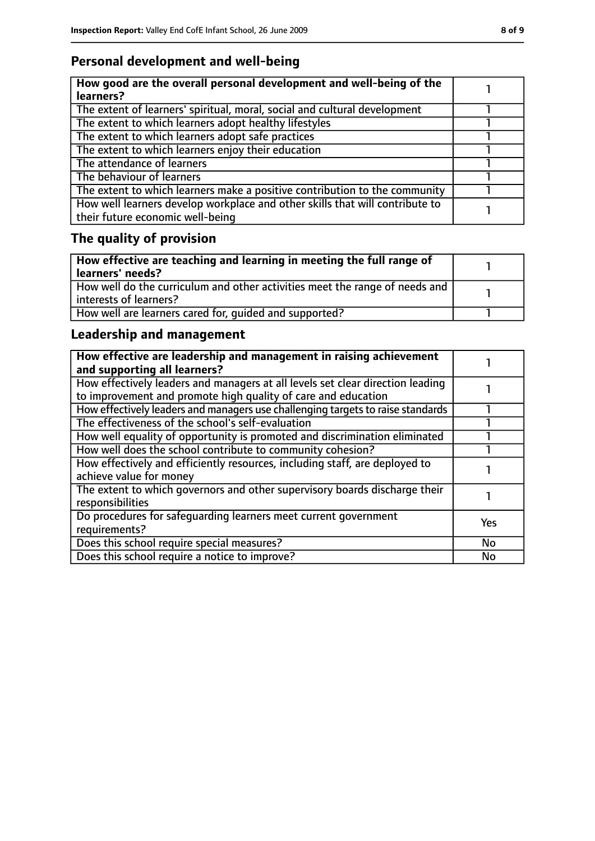## **Personal development and well-being**

| How good are the overall personal development and well-being of the<br>learners?                                 |  |
|------------------------------------------------------------------------------------------------------------------|--|
| The extent of learners' spiritual, moral, social and cultural development                                        |  |
| The extent to which learners adopt healthy lifestyles                                                            |  |
| The extent to which learners adopt safe practices                                                                |  |
| The extent to which learners enjoy their education                                                               |  |
| The attendance of learners                                                                                       |  |
| The behaviour of learners                                                                                        |  |
| The extent to which learners make a positive contribution to the community                                       |  |
| How well learners develop workplace and other skills that will contribute to<br>their future economic well-being |  |

# **The quality of provision**

| How effective are teaching and learning in meeting the full range of<br>learners' needs?              |  |
|-------------------------------------------------------------------------------------------------------|--|
| How well do the curriculum and other activities meet the range of needs and<br>interests of learners? |  |
| How well are learners cared for, quided and supported?                                                |  |

## **Leadership and management**

| How effective are leadership and management in raising achievement<br>and supporting all learners?                                              |           |
|-------------------------------------------------------------------------------------------------------------------------------------------------|-----------|
| How effectively leaders and managers at all levels set clear direction leading<br>to improvement and promote high quality of care and education |           |
| How effectively leaders and managers use challenging targets to raise standards                                                                 |           |
| The effectiveness of the school's self-evaluation                                                                                               |           |
| How well equality of opportunity is promoted and discrimination eliminated                                                                      |           |
| How well does the school contribute to community cohesion?                                                                                      |           |
| How effectively and efficiently resources, including staff, are deployed to<br>achieve value for money                                          |           |
| The extent to which governors and other supervisory boards discharge their<br>responsibilities                                                  |           |
| Do procedures for safequarding learners meet current government<br>requirements?                                                                | Yes       |
| Does this school require special measures?                                                                                                      | <b>No</b> |
| Does this school require a notice to improve?                                                                                                   | <b>No</b> |